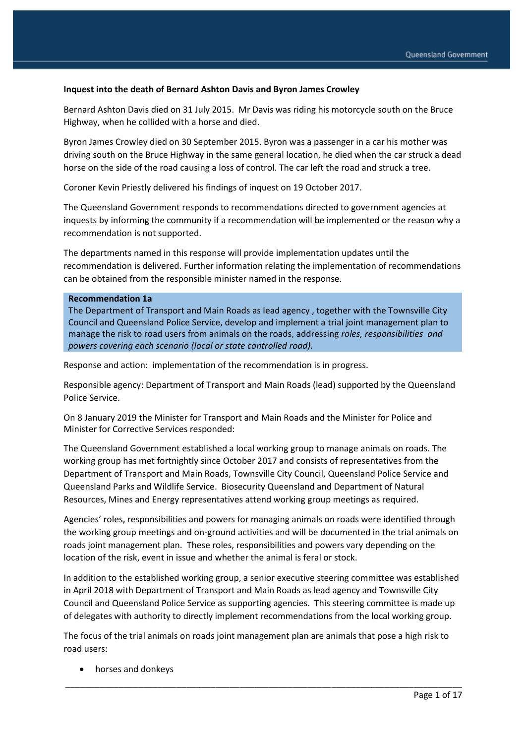#### **Inquest into the death of Bernard Ashton Davis and Byron James Crowley**

Bernard Ashton Davis died on 31 July 2015. Mr Davis was riding his motorcycle south on the Bruce Highway, when he collided with a horse and died.

Byron James Crowley died on 30 September 2015. Byron was a passenger in a car his mother was driving south on the Bruce Highway in the same general location, he died when the car struck a dead horse on the side of the road causing a loss of control. The car left the road and struck a tree.

Coroner Kevin Priestly delivered his findings of inquest on 19 October 2017.

The Queensland Government responds to recommendations directed to government agencies at inquests by informing the community if a recommendation will be implemented or the reason why a recommendation is not supported.

The departments named in this response will provide implementation updates until the recommendation is delivered. Further information relating the implementation of recommendations can be obtained from the responsible minister named in the response.

#### **Recommendation 1a**

The Department of Transport and Main Roads as lead agency , together with the Townsville City Council and Queensland Police Service, develop and implement a trial joint management plan to manage the risk to road users from animals on the roads, addressing *roles, responsibilities and powers covering each scenario (local or state controlled road).*

Response and action: implementation of the recommendation is in progress.

Responsible agency: Department of Transport and Main Roads (lead) supported by the Queensland Police Service.

On 8 January 2019 the Minister for Transport and Main Roads and the Minister for Police and Minister for Corrective Services responded:

The Queensland Government established a local working group to manage animals on roads. The working group has met fortnightly since October 2017 and consists of representatives from the Department of Transport and Main Roads, Townsville City Council, Queensland Police Service and Queensland Parks and Wildlife Service. Biosecurity Queensland and Department of Natural Resources, Mines and Energy representatives attend working group meetings as required.

Agencies' roles, responsibilities and powers for managing animals on roads were identified through the working group meetings and on-ground activities and will be documented in the trial animals on roads joint management plan. These roles, responsibilities and powers vary depending on the location of the risk, event in issue and whether the animal is feral or stock.

In addition to the established working group, a senior executive steering committee was established in April 2018 with Department of Transport and Main Roads as lead agency and Townsville City Council and Queensland Police Service as supporting agencies. This steering committee is made up of delegates with authority to directly implement recommendations from the local working group.

The focus of the trial animals on roads joint management plan are animals that pose a high risk to road users:

\_\_\_\_\_\_\_\_\_\_\_\_\_\_\_\_\_\_\_\_\_\_\_\_\_\_\_\_\_\_\_\_\_\_\_\_\_\_\_\_\_\_\_\_\_\_\_\_\_\_\_\_\_\_\_\_\_\_\_\_\_\_\_\_\_\_\_\_\_\_\_\_\_\_\_\_\_\_\_\_\_\_

• horses and donkeys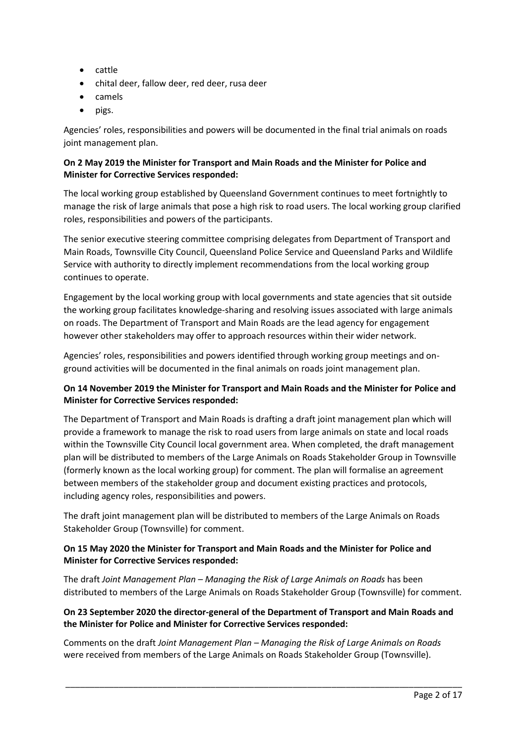- cattle
- chital deer, fallow deer, red deer, rusa deer
- camels
- pigs.

Agencies' roles, responsibilities and powers will be documented in the final trial animals on roads joint management plan.

## **On 2 May 2019 the Minister for Transport and Main Roads and the Minister for Police and Minister for Corrective Services responded:**

The local working group established by Queensland Government continues to meet fortnightly to manage the risk of large animals that pose a high risk to road users. The local working group clarified roles, responsibilities and powers of the participants.

The senior executive steering committee comprising delegates from Department of Transport and Main Roads, Townsville City Council, Queensland Police Service and Queensland Parks and Wildlife Service with authority to directly implement recommendations from the local working group continues to operate.

Engagement by the local working group with local governments and state agencies that sit outside the working group facilitates knowledge-sharing and resolving issues associated with large animals on roads. The Department of Transport and Main Roads are the lead agency for engagement however other stakeholders may offer to approach resources within their wider network.

Agencies' roles, responsibilities and powers identified through working group meetings and onground activities will be documented in the final animals on roads joint management plan.

# **On 14 November 2019 the Minister for Transport and Main Roads and the Minister for Police and Minister for Corrective Services responded:**

The Department of Transport and Main Roads is drafting a draft joint management plan which will provide a framework to manage the risk to road users from large animals on state and local roads within the Townsville City Council local government area. When completed, the draft management plan will be distributed to members of the Large Animals on Roads Stakeholder Group in Townsville (formerly known as the local working group) for comment. The plan will formalise an agreement between members of the stakeholder group and document existing practices and protocols, including agency roles, responsibilities and powers.

The draft joint management plan will be distributed to members of the Large Animals on Roads Stakeholder Group (Townsville) for comment.

## **On 15 May 2020 the Minister for Transport and Main Roads and the Minister for Police and Minister for Corrective Services responded:**

The draft *Joint Management Plan – Managing the Risk of Large Animals on Roads* has been distributed to members of the Large Animals on Roads Stakeholder Group (Townsville) for comment.

# **On 23 September 2020 the director-general of the Department of Transport and Main Roads and the Minister for Police and Minister for Corrective Services responded:**

Comments on the draft *Joint Management Plan – Managing the Risk of Large Animals on Roads*  were received from members of the Large Animals on Roads Stakeholder Group (Townsville).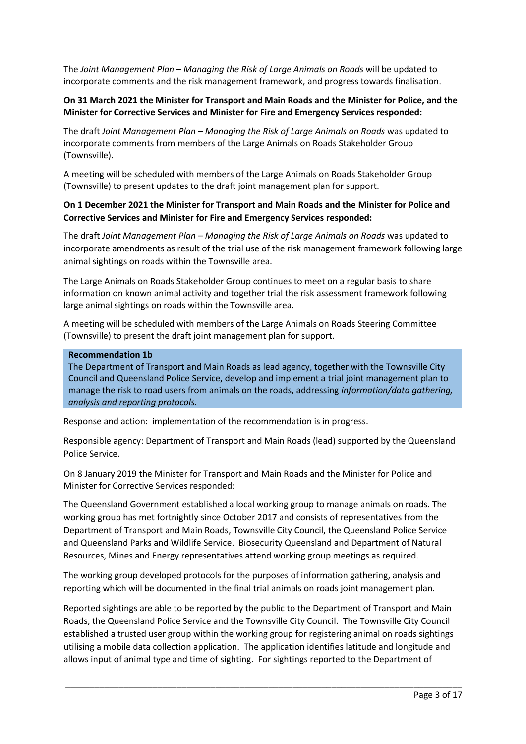The *Joint Management Plan – Managing the Risk of Large Animals on Roads* will be updated to incorporate comments and the risk management framework, and progress towards finalisation.

### **On 31 March 2021 the Minister for Transport and Main Roads and the Minister for Police, and the Minister for Corrective Services and Minister for Fire and Emergency Services responded:**

The draft *Joint Management Plan – Managing the Risk of Large Animals on Roads* was updated to incorporate comments from members of the Large Animals on Roads Stakeholder Group (Townsville).

A meeting will be scheduled with members of the Large Animals on Roads Stakeholder Group (Townsville) to present updates to the draft joint management plan for support.

### **On 1 December 2021 the Minister for Transport and Main Roads and the Minister for Police and Corrective Services and Minister for Fire and Emergency Services responded:**

The draft *Joint Management Plan – Managing the Risk of Large Animals on Roads* was updated to incorporate amendments as result of the trial use of the risk management framework following large animal sightings on roads within the Townsville area.

The Large Animals on Roads Stakeholder Group continues to meet on a regular basis to share information on known animal activity and together trial the risk assessment framework following large animal sightings on roads within the Townsville area.

A meeting will be scheduled with members of the Large Animals on Roads Steering Committee (Townsville) to present the draft joint management plan for support.

#### **Recommendation 1b**

The Department of Transport and Main Roads as lead agency, together with the Townsville City Council and Queensland Police Service, develop and implement a trial joint management plan to manage the risk to road users from animals on the roads, addressing *information/data gathering, analysis and reporting protocols.*

Response and action: implementation of the recommendation is in progress.

Responsible agency: Department of Transport and Main Roads (lead) supported by the Queensland Police Service.

On 8 January 2019 the Minister for Transport and Main Roads and the Minister for Police and Minister for Corrective Services responded:

The Queensland Government established a local working group to manage animals on roads. The working group has met fortnightly since October 2017 and consists of representatives from the Department of Transport and Main Roads, Townsville City Council, the Queensland Police Service and Queensland Parks and Wildlife Service. Biosecurity Queensland and Department of Natural Resources, Mines and Energy representatives attend working group meetings as required.

The working group developed protocols for the purposes of information gathering, analysis and reporting which will be documented in the final trial animals on roads joint management plan.

Reported sightings are able to be reported by the public to the Department of Transport and Main Roads, the Queensland Police Service and the Townsville City Council. The Townsville City Council established a trusted user group within the working group for registering animal on roads sightings utilising a mobile data collection application. The application identifies latitude and longitude and allows input of animal type and time of sighting. For sightings reported to the Department of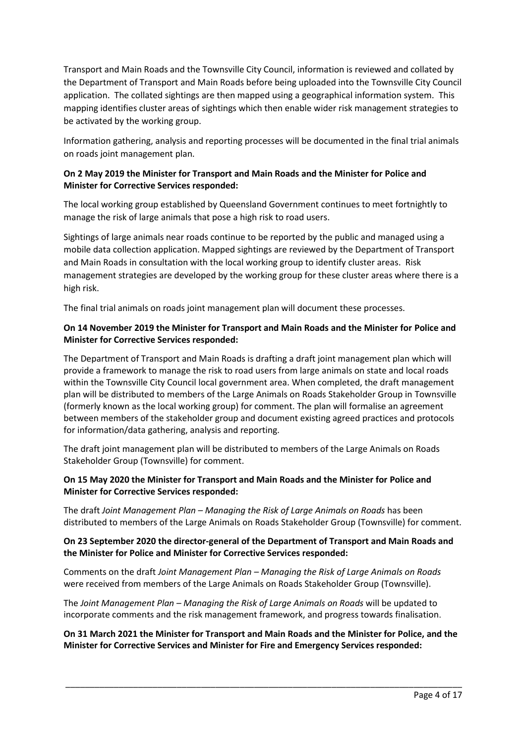Transport and Main Roads and the Townsville City Council, information is reviewed and collated by the Department of Transport and Main Roads before being uploaded into the Townsville City Council application. The collated sightings are then mapped using a geographical information system. This mapping identifies cluster areas of sightings which then enable wider risk management strategies to be activated by the working group.

Information gathering, analysis and reporting processes will be documented in the final trial animals on roads joint management plan.

## **On 2 May 2019 the Minister for Transport and Main Roads and the Minister for Police and Minister for Corrective Services responded:**

The local working group established by Queensland Government continues to meet fortnightly to manage the risk of large animals that pose a high risk to road users.

Sightings of large animals near roads continue to be reported by the public and managed using a mobile data collection application. Mapped sightings are reviewed by the Department of Transport and Main Roads in consultation with the local working group to identify cluster areas. Risk management strategies are developed by the working group for these cluster areas where there is a high risk.

The final trial animals on roads joint management plan will document these processes.

### **On 14 November 2019 the Minister for Transport and Main Roads and the Minister for Police and Minister for Corrective Services responded:**

The Department of Transport and Main Roads is drafting a draft joint management plan which will provide a framework to manage the risk to road users from large animals on state and local roads within the Townsville City Council local government area. When completed, the draft management plan will be distributed to members of the Large Animals on Roads Stakeholder Group in Townsville (formerly known as the local working group) for comment. The plan will formalise an agreement between members of the stakeholder group and document existing agreed practices and protocols for information/data gathering, analysis and reporting.

The draft joint management plan will be distributed to members of the Large Animals on Roads Stakeholder Group (Townsville) for comment.

## **On 15 May 2020 the Minister for Transport and Main Roads and the Minister for Police and Minister for Corrective Services responded:**

The draft *Joint Management Plan – Managing the Risk of Large Animals on Roads* has been distributed to members of the Large Animals on Roads Stakeholder Group (Townsville) for comment.

## **On 23 September 2020 the director-general of the Department of Transport and Main Roads and the Minister for Police and Minister for Corrective Services responded:**

Comments on the draft *Joint Management Plan – Managing the Risk of Large Animals on Roads*  were received from members of the Large Animals on Roads Stakeholder Group (Townsville).

The *Joint Management Plan – Managing the Risk of Large Animals on Roads* will be updated to incorporate comments and the risk management framework, and progress towards finalisation.

## **On 31 March 2021 the Minister for Transport and Main Roads and the Minister for Police, and the Minister for Corrective Services and Minister for Fire and Emergency Services responded:**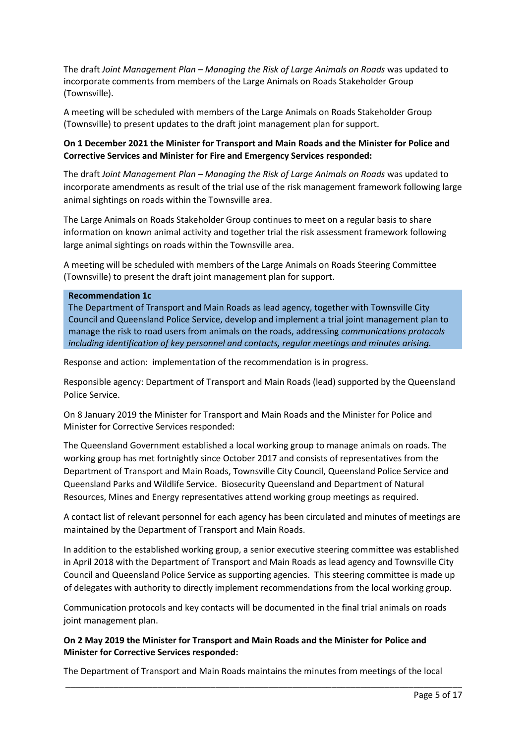The draft *Joint Management Plan – Managing the Risk of Large Animals on Roads* was updated to incorporate comments from members of the Large Animals on Roads Stakeholder Group (Townsville).

A meeting will be scheduled with members of the Large Animals on Roads Stakeholder Group (Townsville) to present updates to the draft joint management plan for support.

## **On 1 December 2021 the Minister for Transport and Main Roads and the Minister for Police and Corrective Services and Minister for Fire and Emergency Services responded:**

The draft *Joint Management Plan – Managing the Risk of Large Animals on Roads* was updated to incorporate amendments as result of the trial use of the risk management framework following large animal sightings on roads within the Townsville area.

The Large Animals on Roads Stakeholder Group continues to meet on a regular basis to share information on known animal activity and together trial the risk assessment framework following large animal sightings on roads within the Townsville area.

A meeting will be scheduled with members of the Large Animals on Roads Steering Committee (Townsville) to present the draft joint management plan for support.

#### **Recommendation 1c**

The Department of Transport and Main Roads as lead agency, together with Townsville City Council and Queensland Police Service, develop and implement a trial joint management plan to manage the risk to road users from animals on the roads, addressing *communications protocols including identification of key personnel and contacts, regular meetings and minutes arising.*

Response and action: implementation of the recommendation is in progress.

Responsible agency: Department of Transport and Main Roads (lead) supported by the Queensland Police Service.

On 8 January 2019 the Minister for Transport and Main Roads and the Minister for Police and Minister for Corrective Services responded:

The Queensland Government established a local working group to manage animals on roads. The working group has met fortnightly since October 2017 and consists of representatives from the Department of Transport and Main Roads, Townsville City Council, Queensland Police Service and Queensland Parks and Wildlife Service. Biosecurity Queensland and Department of Natural Resources, Mines and Energy representatives attend working group meetings as required.

A contact list of relevant personnel for each agency has been circulated and minutes of meetings are maintained by the Department of Transport and Main Roads.

In addition to the established working group, a senior executive steering committee was established in April 2018 with the Department of Transport and Main Roads as lead agency and Townsville City Council and Queensland Police Service as supporting agencies. This steering committee is made up of delegates with authority to directly implement recommendations from the local working group.

Communication protocols and key contacts will be documented in the final trial animals on roads joint management plan.

### **On 2 May 2019 the Minister for Transport and Main Roads and the Minister for Police and Minister for Corrective Services responded:**

The Department of Transport and Main Roads maintains the minutes from meetings of the local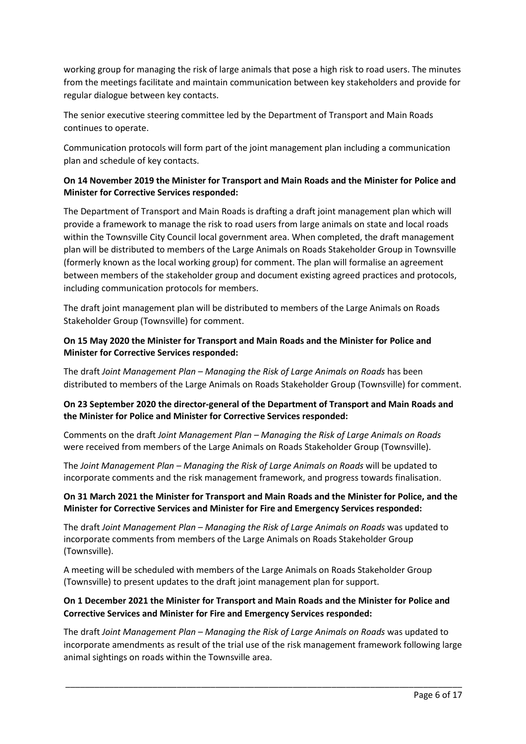working group for managing the risk of large animals that pose a high risk to road users. The minutes from the meetings facilitate and maintain communication between key stakeholders and provide for regular dialogue between key contacts.

The senior executive steering committee led by the Department of Transport and Main Roads continues to operate.

Communication protocols will form part of the joint management plan including a communication plan and schedule of key contacts.

## **On 14 November 2019 the Minister for Transport and Main Roads and the Minister for Police and Minister for Corrective Services responded:**

The Department of Transport and Main Roads is drafting a draft joint management plan which will provide a framework to manage the risk to road users from large animals on state and local roads within the Townsville City Council local government area. When completed, the draft management plan will be distributed to members of the Large Animals on Roads Stakeholder Group in Townsville (formerly known as the local working group) for comment. The plan will formalise an agreement between members of the stakeholder group and document existing agreed practices and protocols, including communication protocols for members.

The draft joint management plan will be distributed to members of the Large Animals on Roads Stakeholder Group (Townsville) for comment.

### **On 15 May 2020 the Minister for Transport and Main Roads and the Minister for Police and Minister for Corrective Services responded:**

The draft *Joint Management Plan – Managing the Risk of Large Animals on Roads* has been distributed to members of the Large Animals on Roads Stakeholder Group (Townsville) for comment.

## **On 23 September 2020 the director-general of the Department of Transport and Main Roads and the Minister for Police and Minister for Corrective Services responded:**

Comments on the draft *Joint Management Plan – Managing the Risk of Large Animals on Roads*  were received from members of the Large Animals on Roads Stakeholder Group (Townsville).

The *Joint Management Plan – Managing the Risk of Large Animals on Roads* will be updated to incorporate comments and the risk management framework, and progress towards finalisation.

### **On 31 March 2021 the Minister for Transport and Main Roads and the Minister for Police, and the Minister for Corrective Services and Minister for Fire and Emergency Services responded:**

The draft *Joint Management Plan – Managing the Risk of Large Animals on Roads* was updated to incorporate comments from members of the Large Animals on Roads Stakeholder Group (Townsville).

A meeting will be scheduled with members of the Large Animals on Roads Stakeholder Group (Townsville) to present updates to the draft joint management plan for support.

# **On 1 December 2021 the Minister for Transport and Main Roads and the Minister for Police and Corrective Services and Minister for Fire and Emergency Services responded:**

The draft *Joint Management Plan – Managing the Risk of Large Animals on Roads* was updated to incorporate amendments as result of the trial use of the risk management framework following large animal sightings on roads within the Townsville area.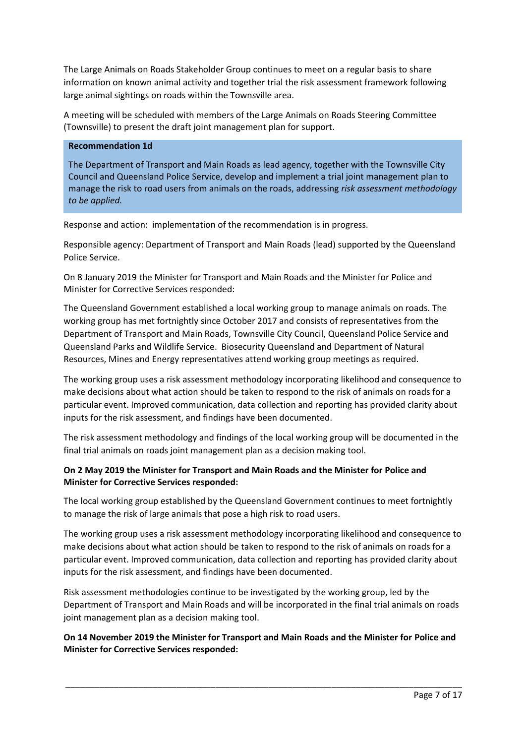The Large Animals on Roads Stakeholder Group continues to meet on a regular basis to share information on known animal activity and together trial the risk assessment framework following large animal sightings on roads within the Townsville area.

A meeting will be scheduled with members of the Large Animals on Roads Steering Committee (Townsville) to present the draft joint management plan for support.

#### **Recommendation 1d**

The Department of Transport and Main Roads as lead agency, together with the Townsville City Council and Queensland Police Service, develop and implement a trial joint management plan to manage the risk to road users from animals on the roads, addressing *risk assessment methodology to be applied.*

Response and action: implementation of the recommendation is in progress.

Responsible agency: Department of Transport and Main Roads (lead) supported by the Queensland Police Service.

On 8 January 2019 the Minister for Transport and Main Roads and the Minister for Police and Minister for Corrective Services responded:

The Queensland Government established a local working group to manage animals on roads. The working group has met fortnightly since October 2017 and consists of representatives from the Department of Transport and Main Roads, Townsville City Council, Queensland Police Service and Queensland Parks and Wildlife Service. Biosecurity Queensland and Department of Natural Resources, Mines and Energy representatives attend working group meetings as required.

The working group uses a risk assessment methodology incorporating likelihood and consequence to make decisions about what action should be taken to respond to the risk of animals on roads for a particular event. Improved communication, data collection and reporting has provided clarity about inputs for the risk assessment, and findings have been documented.

The risk assessment methodology and findings of the local working group will be documented in the final trial animals on roads joint management plan as a decision making tool.

## **On 2 May 2019 the Minister for Transport and Main Roads and the Minister for Police and Minister for Corrective Services responded:**

The local working group established by the Queensland Government continues to meet fortnightly to manage the risk of large animals that pose a high risk to road users.

The working group uses a risk assessment methodology incorporating likelihood and consequence to make decisions about what action should be taken to respond to the risk of animals on roads for a particular event. Improved communication, data collection and reporting has provided clarity about inputs for the risk assessment, and findings have been documented.

Risk assessment methodologies continue to be investigated by the working group, led by the Department of Transport and Main Roads and will be incorporated in the final trial animals on roads joint management plan as a decision making tool.

**On 14 November 2019 the Minister for Transport and Main Roads and the Minister for Police and Minister for Corrective Services responded:**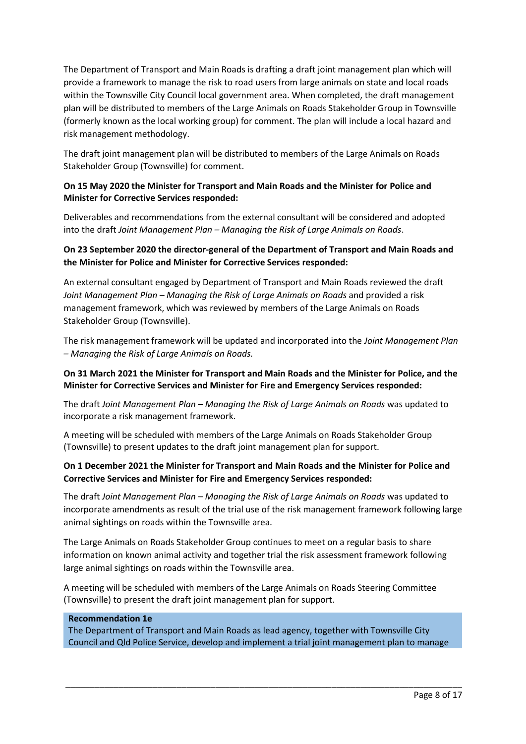The Department of Transport and Main Roads is drafting a draft joint management plan which will provide a framework to manage the risk to road users from large animals on state and local roads within the Townsville City Council local government area. When completed, the draft management plan will be distributed to members of the Large Animals on Roads Stakeholder Group in Townsville (formerly known as the local working group) for comment. The plan will include a local hazard and risk management methodology.

The draft joint management plan will be distributed to members of the Large Animals on Roads Stakeholder Group (Townsville) for comment.

## **On 15 May 2020 the Minister for Transport and Main Roads and the Minister for Police and Minister for Corrective Services responded:**

Deliverables and recommendations from the external consultant will be considered and adopted into the draft *Joint Management Plan – Managing the Risk of Large Animals on Roads*.

## **On 23 September 2020 the director-general of the Department of Transport and Main Roads and the Minister for Police and Minister for Corrective Services responded:**

An external consultant engaged by Department of Transport and Main Roads reviewed the draft *Joint Management Plan – Managing the Risk of Large Animals on Roads* and provided a risk management framework, which was reviewed by members of the Large Animals on Roads Stakeholder Group (Townsville).

The risk management framework will be updated and incorporated into the *Joint Management Plan – Managing the Risk of Large Animals on Roads.*

### **On 31 March 2021 the Minister for Transport and Main Roads and the Minister for Police, and the Minister for Corrective Services and Minister for Fire and Emergency Services responded:**

The draft *Joint Management Plan – Managing the Risk of Large Animals on Roads* was updated to incorporate a risk management framework.

A meeting will be scheduled with members of the Large Animals on Roads Stakeholder Group (Townsville) to present updates to the draft joint management plan for support.

## **On 1 December 2021 the Minister for Transport and Main Roads and the Minister for Police and Corrective Services and Minister for Fire and Emergency Services responded:**

The draft *Joint Management Plan – Managing the Risk of Large Animals on Roads* was updated to incorporate amendments as result of the trial use of the risk management framework following large animal sightings on roads within the Townsville area.

The Large Animals on Roads Stakeholder Group continues to meet on a regular basis to share information on known animal activity and together trial the risk assessment framework following large animal sightings on roads within the Townsville area.

A meeting will be scheduled with members of the Large Animals on Roads Steering Committee (Townsville) to present the draft joint management plan for support.

#### **Recommendation 1e**

The Department of Transport and Main Roads as lead agency, together with Townsville City Council and Qld Police Service, develop and implement a trial joint management plan to manage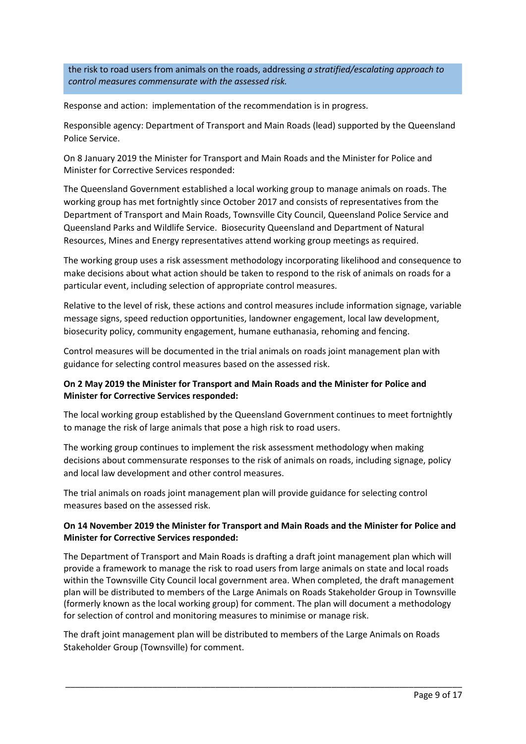the risk to road users from animals on the roads, addressing *a stratified/escalating approach to control measures commensurate with the assessed risk.*

Response and action: implementation of the recommendation is in progress.

Responsible agency: Department of Transport and Main Roads (lead) supported by the Queensland Police Service.

On 8 January 2019 the Minister for Transport and Main Roads and the Minister for Police and Minister for Corrective Services responded:

The Queensland Government established a local working group to manage animals on roads. The working group has met fortnightly since October 2017 and consists of representatives from the Department of Transport and Main Roads, Townsville City Council, Queensland Police Service and Queensland Parks and Wildlife Service. Biosecurity Queensland and Department of Natural Resources, Mines and Energy representatives attend working group meetings as required.

The working group uses a risk assessment methodology incorporating likelihood and consequence to make decisions about what action should be taken to respond to the risk of animals on roads for a particular event, including selection of appropriate control measures.

Relative to the level of risk, these actions and control measures include information signage, variable message signs, speed reduction opportunities, landowner engagement, local law development, biosecurity policy, community engagement, humane euthanasia, rehoming and fencing.

Control measures will be documented in the trial animals on roads joint management plan with guidance for selecting control measures based on the assessed risk.

## **On 2 May 2019 the Minister for Transport and Main Roads and the Minister for Police and Minister for Corrective Services responded:**

The local working group established by the Queensland Government continues to meet fortnightly to manage the risk of large animals that pose a high risk to road users.

The working group continues to implement the risk assessment methodology when making decisions about commensurate responses to the risk of animals on roads, including signage, policy and local law development and other control measures.

The trial animals on roads joint management plan will provide guidance for selecting control measures based on the assessed risk.

### **On 14 November 2019 the Minister for Transport and Main Roads and the Minister for Police and Minister for Corrective Services responded:**

The Department of Transport and Main Roads is drafting a draft joint management plan which will provide a framework to manage the risk to road users from large animals on state and local roads within the Townsville City Council local government area. When completed, the draft management plan will be distributed to members of the Large Animals on Roads Stakeholder Group in Townsville (formerly known as the local working group) for comment. The plan will document a methodology for selection of control and monitoring measures to minimise or manage risk.

The draft joint management plan will be distributed to members of the Large Animals on Roads Stakeholder Group (Townsville) for comment.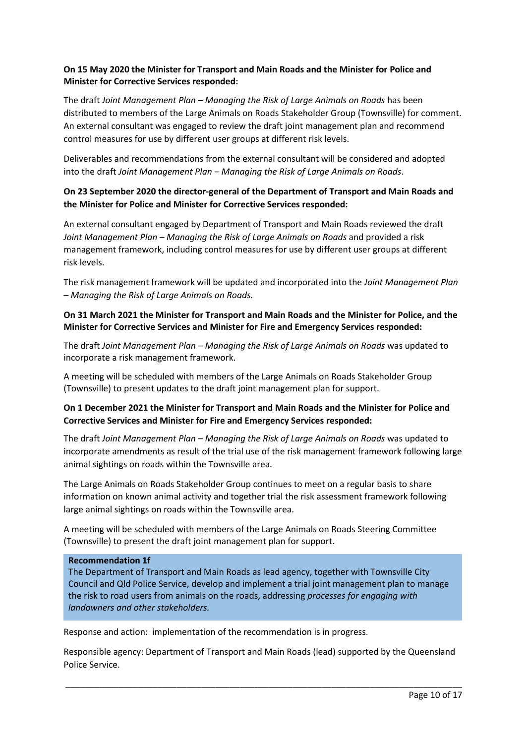## **On 15 May 2020 the Minister for Transport and Main Roads and the Minister for Police and Minister for Corrective Services responded:**

The draft *Joint Management Plan – Managing the Risk of Large Animals on Roads* has been distributed to members of the Large Animals on Roads Stakeholder Group (Townsville) for comment. An external consultant was engaged to review the draft joint management plan and recommend control measures for use by different user groups at different risk levels.

Deliverables and recommendations from the external consultant will be considered and adopted into the draft *Joint Management Plan – Managing the Risk of Large Animals on Roads*.

## **On 23 September 2020 the director-general of the Department of Transport and Main Roads and the Minister for Police and Minister for Corrective Services responded:**

An external consultant engaged by Department of Transport and Main Roads reviewed the draft *Joint Management Plan – Managing the Risk of Large Animals on Roads* and provided a risk management framework, including control measures for use by different user groups at different risk levels.

The risk management framework will be updated and incorporated into the *Joint Management Plan – Managing the Risk of Large Animals on Roads.*

### **On 31 March 2021 the Minister for Transport and Main Roads and the Minister for Police, and the Minister for Corrective Services and Minister for Fire and Emergency Services responded:**

The draft *Joint Management Plan – Managing the Risk of Large Animals on Roads* was updated to incorporate a risk management framework.

A meeting will be scheduled with members of the Large Animals on Roads Stakeholder Group (Townsville) to present updates to the draft joint management plan for support.

## **On 1 December 2021 the Minister for Transport and Main Roads and the Minister for Police and Corrective Services and Minister for Fire and Emergency Services responded:**

The draft *Joint Management Plan – Managing the Risk of Large Animals on Roads* was updated to incorporate amendments as result of the trial use of the risk management framework following large animal sightings on roads within the Townsville area.

The Large Animals on Roads Stakeholder Group continues to meet on a regular basis to share information on known animal activity and together trial the risk assessment framework following large animal sightings on roads within the Townsville area.

A meeting will be scheduled with members of the Large Animals on Roads Steering Committee (Townsville) to present the draft joint management plan for support.

#### **Recommendation 1f**

The Department of Transport and Main Roads as lead agency, together with Townsville City Council and Qld Police Service, develop and implement a trial joint management plan to manage the risk to road users from animals on the roads, addressing *processes for engaging with landowners and other stakeholders.*

Response and action: implementation of the recommendation is in progress.

Responsible agency: Department of Transport and Main Roads (lead) supported by the Queensland Police Service.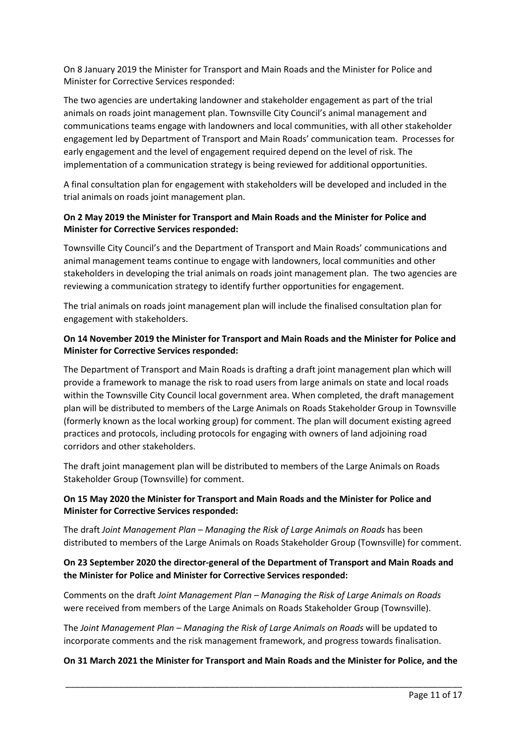On 8 January 2019 the Minister for Transport and Main Roads and the Minister for Police and Minister for Corrective Services responded:

The two agencies are undertaking landowner and stakeholder engagement as part of the trial animals on roads joint management plan. Townsville City Council's animal management and communications teams engage with landowners and local communities, with all other stakeholder engagement led by Department of Transport and Main Roads' communication team. Processes for early engagement and the level of engagement required depend on the level of risk. The implementation of a communication strategy is being reviewed for additional opportunities.

A final consultation plan for engagement with stakeholders will be developed and included in the trial animals on roads joint management plan.

### **On 2 May 2019 the Minister for Transport and Main Roads and the Minister for Police and Minister for Corrective Services responded:**

Townsville City Council's and the Department of Transport and Main Roads' communications and animal management teams continue to engage with landowners, local communities and other stakeholders in developing the trial animals on roads joint management plan. The two agencies are reviewing a communication strategy to identify further opportunities for engagement.

The trial animals on roads joint management plan will include the finalised consultation plan for engagement with stakeholders.

### **On 14 November 2019 the Minister for Transport and Main Roads and the Minister for Police and Minister for Corrective Services responded:**

The Department of Transport and Main Roads is drafting a draft joint management plan which will provide a framework to manage the risk to road users from large animals on state and local roads within the Townsville City Council local government area. When completed, the draft management plan will be distributed to members of the Large Animals on Roads Stakeholder Group in Townsville (formerly known as the local working group) for comment. The plan will document existing agreed practices and protocols, including protocols for engaging with owners of land adjoining road corridors and other stakeholders.

The draft joint management plan will be distributed to members of the Large Animals on Roads Stakeholder Group (Townsville) for comment.

## **On 15 May 2020 the Minister for Transport and Main Roads and the Minister for Police and Minister for Corrective Services responded:**

The draft *Joint Management Plan – Managing the Risk of Large Animals on Roads* has been distributed to members of the Large Animals on Roads Stakeholder Group (Townsville) for comment.

# **On 23 September 2020 the director-general of the Department of Transport and Main Roads and the Minister for Police and Minister for Corrective Services responded:**

Comments on the draft *Joint Management Plan – Managing the Risk of Large Animals on Roads*  were received from members of the Large Animals on Roads Stakeholder Group (Townsville).

The *Joint Management Plan – Managing the Risk of Large Animals on Roads* will be updated to incorporate comments and the risk management framework, and progress towards finalisation.

## **On 31 March 2021 the Minister for Transport and Main Roads and the Minister for Police, and the**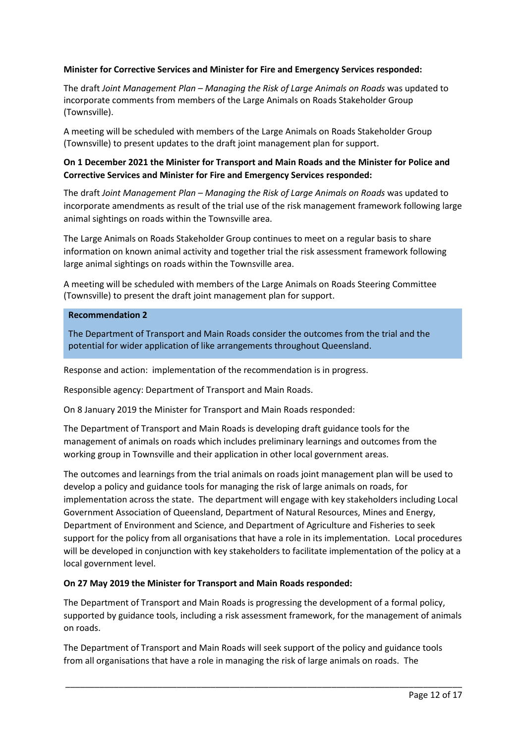### **Minister for Corrective Services and Minister for Fire and Emergency Services responded:**

The draft *Joint Management Plan – Managing the Risk of Large Animals on Roads* was updated to incorporate comments from members of the Large Animals on Roads Stakeholder Group (Townsville).

A meeting will be scheduled with members of the Large Animals on Roads Stakeholder Group (Townsville) to present updates to the draft joint management plan for support.

## **On 1 December 2021 the Minister for Transport and Main Roads and the Minister for Police and Corrective Services and Minister for Fire and Emergency Services responded:**

The draft *Joint Management Plan – Managing the Risk of Large Animals on Roads* was updated to incorporate amendments as result of the trial use of the risk management framework following large animal sightings on roads within the Townsville area.

The Large Animals on Roads Stakeholder Group continues to meet on a regular basis to share information on known animal activity and together trial the risk assessment framework following large animal sightings on roads within the Townsville area.

A meeting will be scheduled with members of the Large Animals on Roads Steering Committee (Townsville) to present the draft joint management plan for support.

#### **Recommendation 2**

The Department of Transport and Main Roads consider the outcomes from the trial and the potential for wider application of like arrangements throughout Queensland.

Response and action: implementation of the recommendation is in progress.

Responsible agency: Department of Transport and Main Roads.

On 8 January 2019 the Minister for Transport and Main Roads responded:

The Department of Transport and Main Roads is developing draft guidance tools for the management of animals on roads which includes preliminary learnings and outcomes from the working group in Townsville and their application in other local government areas.

The outcomes and learnings from the trial animals on roads joint management plan will be used to develop a policy and guidance tools for managing the risk of large animals on roads, for implementation across the state. The department will engage with key stakeholders including Local Government Association of Queensland, Department of Natural Resources, Mines and Energy, Department of Environment and Science, and Department of Agriculture and Fisheries to seek support for the policy from all organisations that have a role in its implementation. Local procedures will be developed in conjunction with key stakeholders to facilitate implementation of the policy at a local government level.

## **On 27 May 2019 the Minister for Transport and Main Roads responded:**

The Department of Transport and Main Roads is progressing the development of a formal policy, supported by guidance tools, including a risk assessment framework, for the management of animals on roads.

\_\_\_\_\_\_\_\_\_\_\_\_\_\_\_\_\_\_\_\_\_\_\_\_\_\_\_\_\_\_\_\_\_\_\_\_\_\_\_\_\_\_\_\_\_\_\_\_\_\_\_\_\_\_\_\_\_\_\_\_\_\_\_\_\_\_\_\_\_\_\_\_\_\_\_\_\_\_\_\_\_\_

The Department of Transport and Main Roads will seek support of the policy and guidance tools from all organisations that have a role in managing the risk of large animals on roads. The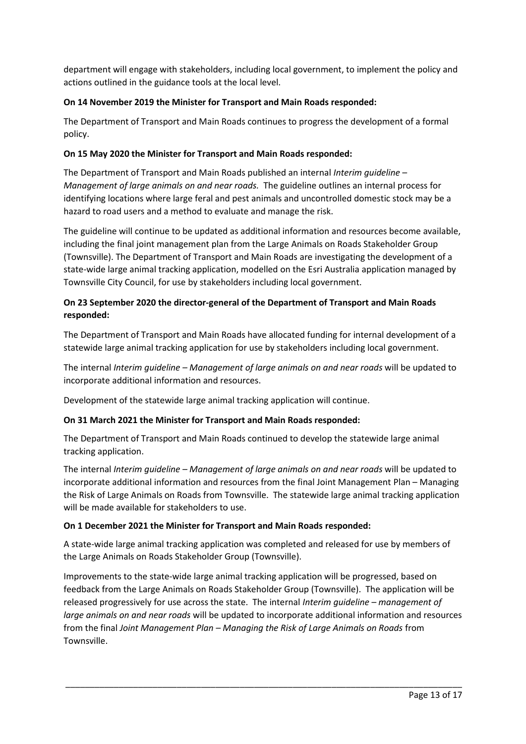department will engage with stakeholders, including local government, to implement the policy and actions outlined in the guidance tools at the local level.

# **On 14 November 2019 the Minister for Transport and Main Roads responded:**

The Department of Transport and Main Roads continues to progress the development of a formal policy.

# **On 15 May 2020 the Minister for Transport and Main Roads responded:**

The Department of Transport and Main Roads published an internal *Interim guideline – Management of large animals on and near roads.* The guideline outlines an internal process for identifying locations where large feral and pest animals and uncontrolled domestic stock may be a hazard to road users and a method to evaluate and manage the risk.

The guideline will continue to be updated as additional information and resources become available, including the final joint management plan from the Large Animals on Roads Stakeholder Group (Townsville). The Department of Transport and Main Roads are investigating the development of a state-wide large animal tracking application, modelled on the Esri Australia application managed by Townsville City Council, for use by stakeholders including local government.

# **On 23 September 2020 the director-general of the Department of Transport and Main Roads responded:**

The Department of Transport and Main Roads have allocated funding for internal development of a statewide large animal tracking application for use by stakeholders including local government.

The internal *Interim guideline – Management of large animals on and near roads* will be updated to incorporate additional information and resources.

Development of the statewide large animal tracking application will continue.

# **On 31 March 2021 the Minister for Transport and Main Roads responded:**

The Department of Transport and Main Roads continued to develop the statewide large animal tracking application.

The internal *Interim guideline – Management of large animals on and near roads* will be updated to incorporate additional information and resources from the final Joint Management Plan – Managing the Risk of Large Animals on Roads from Townsville. The statewide large animal tracking application will be made available for stakeholders to use.

## **On 1 December 2021 the Minister for Transport and Main Roads responded:**

A state-wide large animal tracking application was completed and released for use by members of the Large Animals on Roads Stakeholder Group (Townsville).

Improvements to the state-wide large animal tracking application will be progressed, based on feedback from the Large Animals on Roads Stakeholder Group (Townsville). The application will be released progressively for use across the state. The internal *Interim guideline – management of large animals on and near roads* will be updated to incorporate additional information and resources from the final *Joint Management Plan – Managing the Risk of Large Animals on Roads* from Townsville.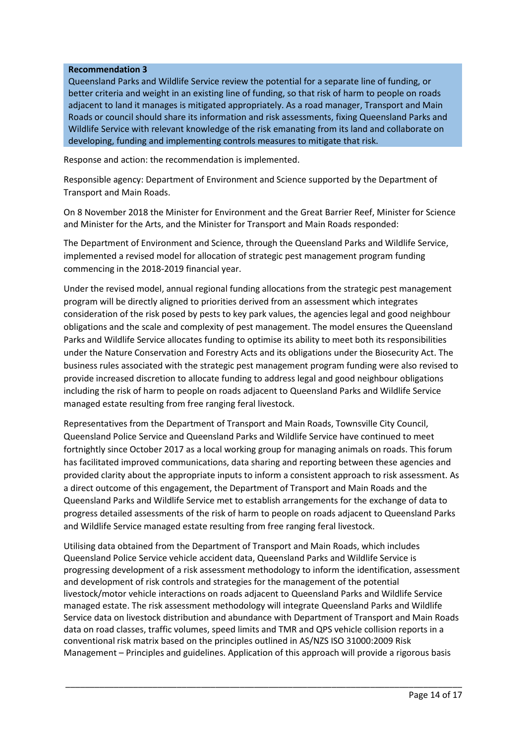#### **Recommendation 3**

Queensland Parks and Wildlife Service review the potential for a separate line of funding, or better criteria and weight in an existing line of funding, so that risk of harm to people on roads adjacent to land it manages is mitigated appropriately. As a road manager, Transport and Main Roads or council should share its information and risk assessments, fixing Queensland Parks and Wildlife Service with relevant knowledge of the risk emanating from its land and collaborate on developing, funding and implementing controls measures to mitigate that risk.

Response and action: the recommendation is implemented.

Responsible agency: Department of Environment and Science supported by the Department of Transport and Main Roads.

On 8 November 2018 the Minister for Environment and the Great Barrier Reef, Minister for Science and Minister for the Arts, and the Minister for Transport and Main Roads responded:

The Department of Environment and Science, through the Queensland Parks and Wildlife Service, implemented a revised model for allocation of strategic pest management program funding commencing in the 2018-2019 financial year.

Under the revised model, annual regional funding allocations from the strategic pest management program will be directly aligned to priorities derived from an assessment which integrates consideration of the risk posed by pests to key park values, the agencies legal and good neighbour obligations and the scale and complexity of pest management. The model ensures the Queensland Parks and Wildlife Service allocates funding to optimise its ability to meet both its responsibilities under the Nature Conservation and Forestry Acts and its obligations under the Biosecurity Act. The business rules associated with the strategic pest management program funding were also revised to provide increased discretion to allocate funding to address legal and good neighbour obligations including the risk of harm to people on roads adjacent to Queensland Parks and Wildlife Service managed estate resulting from free ranging feral livestock.

Representatives from the Department of Transport and Main Roads, Townsville City Council, Queensland Police Service and Queensland Parks and Wildlife Service have continued to meet fortnightly since October 2017 as a local working group for managing animals on roads. This forum has facilitated improved communications, data sharing and reporting between these agencies and provided clarity about the appropriate inputs to inform a consistent approach to risk assessment. As a direct outcome of this engagement, the Department of Transport and Main Roads and the Queensland Parks and Wildlife Service met to establish arrangements for the exchange of data to progress detailed assessments of the risk of harm to people on roads adjacent to Queensland Parks and Wildlife Service managed estate resulting from free ranging feral livestock.

Utilising data obtained from the Department of Transport and Main Roads, which includes Queensland Police Service vehicle accident data, Queensland Parks and Wildlife Service is progressing development of a risk assessment methodology to inform the identification, assessment and development of risk controls and strategies for the management of the potential livestock/motor vehicle interactions on roads adjacent to Queensland Parks and Wildlife Service managed estate. The risk assessment methodology will integrate Queensland Parks and Wildlife Service data on livestock distribution and abundance with Department of Transport and Main Roads data on road classes, traffic volumes, speed limits and TMR and QPS vehicle collision reports in a conventional risk matrix based on the principles outlined in AS/NZS ISO 31000:2009 Risk Management – Principles and guidelines. Application of this approach will provide a rigorous basis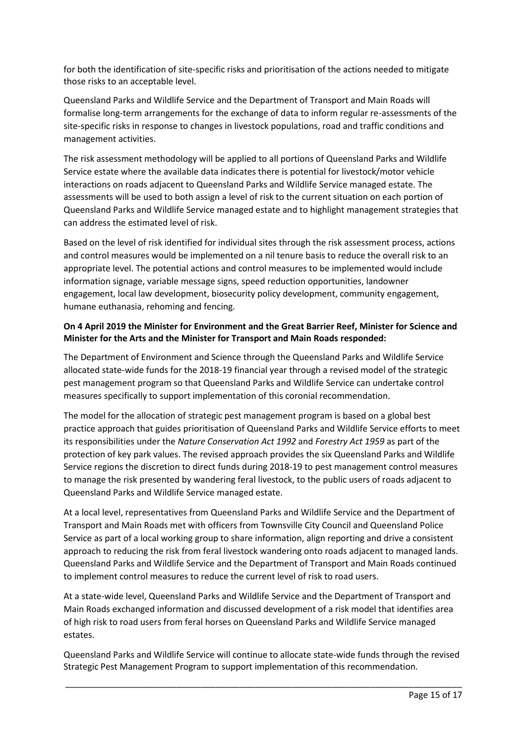for both the identification of site-specific risks and prioritisation of the actions needed to mitigate those risks to an acceptable level.

Queensland Parks and Wildlife Service and the Department of Transport and Main Roads will formalise long-term arrangements for the exchange of data to inform regular re-assessments of the site-specific risks in response to changes in livestock populations, road and traffic conditions and management activities.

The risk assessment methodology will be applied to all portions of Queensland Parks and Wildlife Service estate where the available data indicates there is potential for livestock/motor vehicle interactions on roads adjacent to Queensland Parks and Wildlife Service managed estate. The assessments will be used to both assign a level of risk to the current situation on each portion of Queensland Parks and Wildlife Service managed estate and to highlight management strategies that can address the estimated level of risk.

Based on the level of risk identified for individual sites through the risk assessment process, actions and control measures would be implemented on a nil tenure basis to reduce the overall risk to an appropriate level. The potential actions and control measures to be implemented would include information signage, variable message signs, speed reduction opportunities, landowner engagement, local law development, biosecurity policy development, community engagement, humane euthanasia, rehoming and fencing.

## **On 4 April 2019 the Minister for Environment and the Great Barrier Reef, Minister for Science and Minister for the Arts and the Minister for Transport and Main Roads responded:**

The Department of Environment and Science through the Queensland Parks and Wildlife Service allocated state-wide funds for the 2018-19 financial year through a revised model of the strategic pest management program so that Queensland Parks and Wildlife Service can undertake control measures specifically to support implementation of this coronial recommendation.

The model for the allocation of strategic pest management program is based on a global best practice approach that guides prioritisation of Queensland Parks and Wildlife Service efforts to meet its responsibilities under the *Nature Conservation Act 1992* and *Forestry Act 1959* as part of the protection of key park values. The revised approach provides the six Queensland Parks and Wildlife Service regions the discretion to direct funds during 2018-19 to pest management control measures to manage the risk presented by wandering feral livestock, to the public users of roads adjacent to Queensland Parks and Wildlife Service managed estate.

At a local level, representatives from Queensland Parks and Wildlife Service and the Department of Transport and Main Roads met with officers from Townsville City Council and Queensland Police Service as part of a local working group to share information, align reporting and drive a consistent approach to reducing the risk from feral livestock wandering onto roads adjacent to managed lands. Queensland Parks and Wildlife Service and the Department of Transport and Main Roads continued to implement control measures to reduce the current level of risk to road users.

At a state-wide level, Queensland Parks and Wildlife Service and the Department of Transport and Main Roads exchanged information and discussed development of a risk model that identifies area of high risk to road users from feral horses on Queensland Parks and Wildlife Service managed estates.

Queensland Parks and Wildlife Service will continue to allocate state-wide funds through the revised Strategic Pest Management Program to support implementation of this recommendation.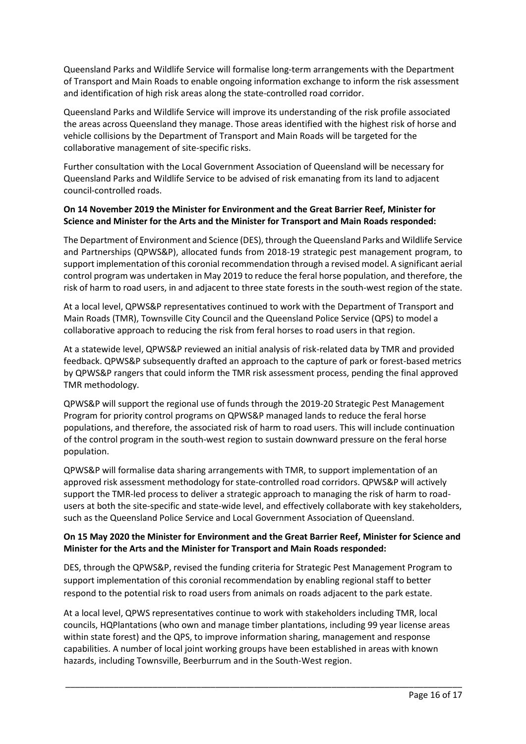Queensland Parks and Wildlife Service will formalise long-term arrangements with the Department of Transport and Main Roads to enable ongoing information exchange to inform the risk assessment and identification of high risk areas along the state-controlled road corridor.

Queensland Parks and Wildlife Service will improve its understanding of the risk profile associated the areas across Queensland they manage. Those areas identified with the highest risk of horse and vehicle collisions by the Department of Transport and Main Roads will be targeted for the collaborative management of site-specific risks.

Further consultation with the Local Government Association of Queensland will be necessary for Queensland Parks and Wildlife Service to be advised of risk emanating from its land to adjacent council-controlled roads.

## **On 14 November 2019 the Minister for Environment and the Great Barrier Reef, Minister for Science and Minister for the Arts and the Minister for Transport and Main Roads responded:**

The Department of Environment and Science (DES), through the Queensland Parks and Wildlife Service and Partnerships (QPWS&P), allocated funds from 2018-19 strategic pest management program, to support implementation of this coronial recommendation through a revised model. A significant aerial control program was undertaken in May 2019 to reduce the feral horse population, and therefore, the risk of harm to road users, in and adjacent to three state forests in the south-west region of the state.

At a local level, QPWS&P representatives continued to work with the Department of Transport and Main Roads (TMR), Townsville City Council and the Queensland Police Service (QPS) to model a collaborative approach to reducing the risk from feral horses to road users in that region.

At a statewide level, QPWS&P reviewed an initial analysis of risk-related data by TMR and provided feedback. QPWS&P subsequently drafted an approach to the capture of park or forest-based metrics by QPWS&P rangers that could inform the TMR risk assessment process, pending the final approved TMR methodology.

QPWS&P will support the regional use of funds through the 2019-20 Strategic Pest Management Program for priority control programs on QPWS&P managed lands to reduce the feral horse populations, and therefore, the associated risk of harm to road users. This will include continuation of the control program in the south-west region to sustain downward pressure on the feral horse population.

QPWS&P will formalise data sharing arrangements with TMR, to support implementation of an approved risk assessment methodology for state-controlled road corridors. QPWS&P will actively support the TMR-led process to deliver a strategic approach to managing the risk of harm to roadusers at both the site-specific and state-wide level, and effectively collaborate with key stakeholders, such as the Queensland Police Service and Local Government Association of Queensland.

## **On 15 May 2020 the Minister for Environment and the Great Barrier Reef, Minister for Science and Minister for the Arts and the Minister for Transport and Main Roads responded:**

DES, through the QPWS&P, revised the funding criteria for Strategic Pest Management Program to support implementation of this coronial recommendation by enabling regional staff to better respond to the potential risk to road users from animals on roads adjacent to the park estate.

At a local level, QPWS representatives continue to work with stakeholders including TMR, local councils, HQPlantations (who own and manage timber plantations, including 99 year license areas within state forest) and the QPS, to improve information sharing, management and response capabilities. A number of local joint working groups have been established in areas with known hazards, including Townsville, Beerburrum and in the South-West region.